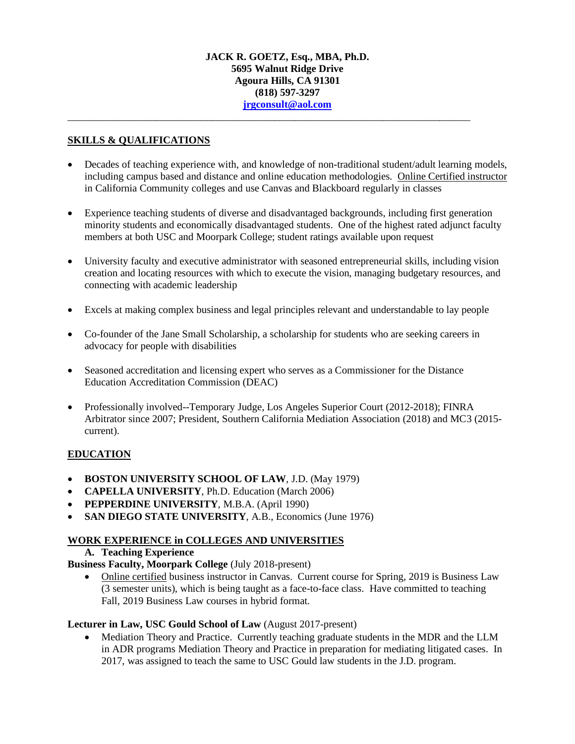# **JACK R. GOETZ, Esq., MBA, Ph.D. 5695 Walnut Ridge Drive Agoura Hills, CA 91301 (818) 597-3297 [jrgconsult@aol.com](mailto:jrgconsult@aol.com)**

\_\_\_\_\_\_\_\_\_\_\_\_\_\_\_\_\_\_\_\_\_\_\_\_\_\_\_\_\_\_\_\_\_\_\_\_\_\_\_\_\_\_\_\_\_\_\_\_\_\_\_\_\_\_\_\_\_\_\_\_\_\_\_\_\_\_\_\_\_\_\_\_\_\_\_\_\_\_

# **SKILLS & QUALIFICATIONS**

- Decades of teaching experience with, and knowledge of non-traditional student/adult learning models, including campus based and distance and online education methodologies. Online Certified instructor in California Community colleges and use Canvas and Blackboard regularly in classes
- Experience teaching students of diverse and disadvantaged backgrounds, including first generation minority students and economically disadvantaged students. One of the highest rated adjunct faculty members at both USC and Moorpark College; student ratings available upon request
- University faculty and executive administrator with seasoned entrepreneurial skills, including vision creation and locating resources with which to execute the vision, managing budgetary resources, and connecting with academic leadership
- Excels at making complex business and legal principles relevant and understandable to lay people
- Co-founder of the Jane Small Scholarship, a scholarship for students who are seeking careers in advocacy for people with disabilities
- Seasoned accreditation and licensing expert who serves as a Commissioner for the Distance Education Accreditation Commission (DEAC)
- Professionally involved--Temporary Judge, Los Angeles Superior Court (2012-2018); FINRA Arbitrator since 2007; President, Southern California Mediation Association (2018) and MC3 (2015 current).

# **EDUCATION**

- **BOSTON UNIVERSITY SCHOOL OF LAW**, J.D. (May 1979)
- **CAPELLA UNIVERSITY**, Ph.D. Education (March 2006)
- **PEPPERDINE UNIVERSITY**, M.B.A. (April 1990)
- **SAN DIEGO STATE UNIVERSITY**, A.B., Economics (June 1976)

## **WORK EXPERIENCE in COLLEGES AND UNIVERSITIES**

**A. Teaching Experience**

## **Business Faculty, Moorpark College** (July 2018-present)

• Online certified business instructor in Canvas. Current course for Spring, 2019 is Business Law (3 semester units), which is being taught as a face-to-face class. Have committed to teaching Fall, 2019 Business Law courses in hybrid format.

## **Lecturer in Law, USC Gould School of Law** (August 2017-present)

• Mediation Theory and Practice. Currently teaching graduate students in the MDR and the LLM in ADR programs Mediation Theory and Practice in preparation for mediating litigated cases. In 2017, was assigned to teach the same to USC Gould law students in the J.D. program.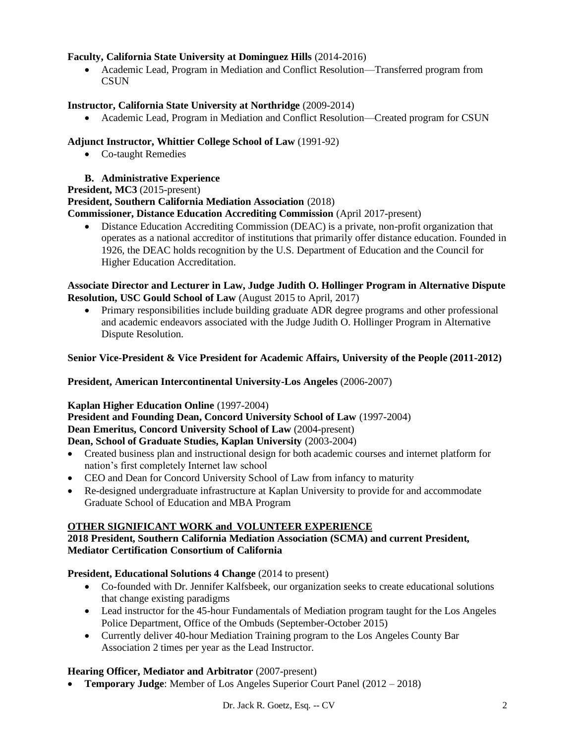# **Faculty, California State University at Dominguez Hills** (2014-2016)

• Academic Lead, Program in Mediation and Conflict Resolution—Transferred program from **CSUN** 

# **Instructor, California State University at Northridge** (2009-2014)

• Academic Lead, Program in Mediation and Conflict Resolution—Created program for CSUN

# **Adjunct Instructor, Whittier College School of Law** (1991-92)

• Co-taught Remedies

# **B. Administrative Experience**

**President, MC3** (2015-present)

## **President, Southern California Mediation Association** (2018)

**Commissioner, Distance Education Accrediting Commission** (April 2017-present)

• Distance Education Accrediting Commission (DEAC) is a private, non-profit organization that operates as a national accreditor of institutions that primarily offer distance education. Founded in 1926, the DEAC holds recognition by the U.S. Department of Education and the Council for Higher Education Accreditation.

# **Associate Director and Lecturer in Law, Judge Judith O. Hollinger Program in Alternative Dispute Resolution, USC Gould School of Law** (August 2015 to April, 2017)

• Primary responsibilities include building graduate ADR degree programs and other professional and academic endeavors associated with the Judge Judith O. Hollinger Program in Alternative Dispute Resolution.

# **Senior Vice-President & Vice President for Academic Affairs, University of the People (2011-2012)**

**President, American Intercontinental University-Los Angeles** (2006-2007)

## **Kaplan Higher Education Online** (1997-2004)

**President and Founding Dean, Concord University School of Law** (1997-2004) **Dean Emeritus, Concord University School of Law** (2004-present) **Dean, School of Graduate Studies, Kaplan University** (2003-2004)

- Created business plan and instructional design for both academic courses and internet platform for nation's first completely Internet law school
- CEO and Dean for Concord University School of Law from infancy to maturity
- Re-designed undergraduate infrastructure at Kaplan University to provide for and accommodate Graduate School of Education and MBA Program

# **OTHER SIGNIFICANT WORK and VOLUNTEER EXPERIENCE**

# **2018 President, Southern California Mediation Association (SCMA) and current President, Mediator Certification Consortium of California**

# **President, Educational Solutions 4 Change (2014 to present)**

- Co-founded with Dr. Jennifer Kalfsbeek, our organization seeks to create educational solutions that change existing paradigms
- Lead instructor for the 45-hour Fundamentals of Mediation program taught for the Los Angeles Police Department, Office of the Ombuds (September-October 2015)
- Currently deliver 40-hour Mediation Training program to the Los Angeles County Bar Association 2 times per year as the Lead Instructor.

# **Hearing Officer, Mediator and Arbitrator** (2007-present)

• **Temporary Judge**: Member of Los Angeles Superior Court Panel (2012 – 2018)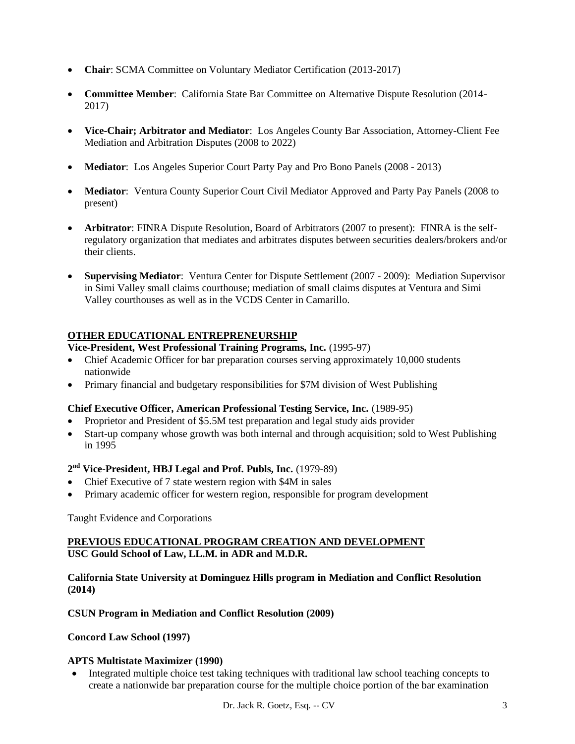- **Chair**: SCMA Committee on Voluntary Mediator Certification (2013-2017)
- **Committee Member**: California State Bar Committee on Alternative Dispute Resolution (2014- 2017)
- **Vice-Chair; Arbitrator and Mediator**: Los Angeles County Bar Association, Attorney-Client Fee Mediation and Arbitration Disputes (2008 to 2022)
- **Mediator**: Los Angeles Superior Court Party Pay and Pro Bono Panels (2008 2013)
- **Mediator**: Ventura County Superior Court Civil Mediator Approved and Party Pay Panels (2008 to present)
- **Arbitrator**: FINRA Dispute Resolution, Board of Arbitrators (2007 to present): FINRA is the selfregulatory organization that mediates and arbitrates disputes between securities dealers/brokers and/or their clients.
- **Supervising Mediator**: Ventura Center for Dispute Settlement (2007 2009): Mediation Supervisor in Simi Valley small claims courthouse; mediation of small claims disputes at Ventura and Simi Valley courthouses as well as in the VCDS Center in Camarillo.

# **OTHER EDUCATIONAL ENTREPRENEURSHIP**

# **Vice-President, West Professional Training Programs, Inc.** (1995-97)

- Chief Academic Officer for bar preparation courses serving approximately 10,000 students nationwide
- Primary financial and budgetary responsibilities for \$7M division of West Publishing

## **Chief Executive Officer, American Professional Testing Service, Inc.** (1989-95)

- Proprietor and President of \$5.5M test preparation and legal study aids provider
- Start-up company whose growth was both internal and through acquisition; sold to West Publishing in 1995

# **2 nd Vice-President, HBJ Legal and Prof. Publs, Inc.** (1979-89)

- Chief Executive of 7 state western region with \$4M in sales
- Primary academic officer for western region, responsible for program development

Taught Evidence and Corporations

# **PREVIOUS EDUCATIONAL PROGRAM CREATION AND DEVELOPMENT USC Gould School of Law, LL.M. in ADR and M.D.R.**

## **California State University at Dominguez Hills program in Mediation and Conflict Resolution (2014)**

**CSUN Program in Mediation and Conflict Resolution (2009)**

**Concord Law School (1997)**

## **APTS Multistate Maximizer (1990)**

• Integrated multiple choice test taking techniques with traditional law school teaching concepts to create a nationwide bar preparation course for the multiple choice portion of the bar examination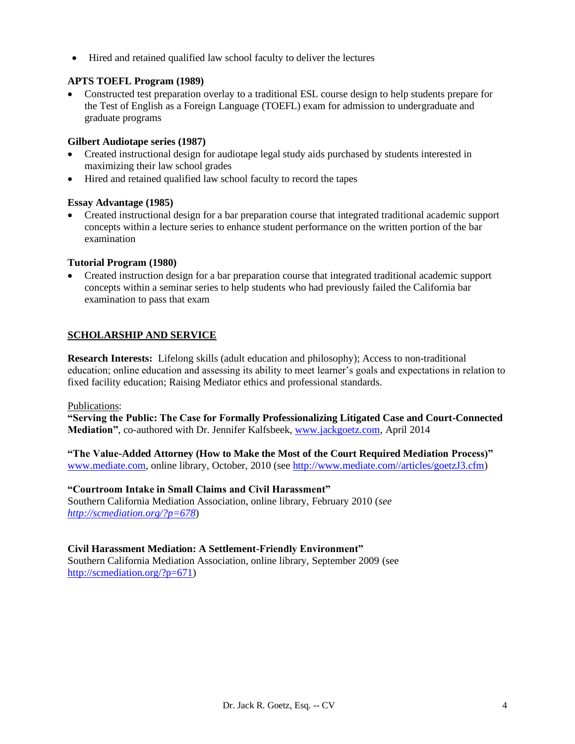• Hired and retained qualified law school faculty to deliver the lectures

# **APTS TOEFL Program (1989)**

• Constructed test preparation overlay to a traditional ESL course design to help students prepare for the Test of English as a Foreign Language (TOEFL) exam for admission to undergraduate and graduate programs

## **Gilbert Audiotape series (1987)**

- Created instructional design for audiotape legal study aids purchased by students interested in maximizing their law school grades
- Hired and retained qualified law school faculty to record the tapes

# **Essay Advantage (1985)**

• Created instructional design for a bar preparation course that integrated traditional academic support concepts within a lecture series to enhance student performance on the written portion of the bar examination

# **Tutorial Program (1980)**

• Created instruction design for a bar preparation course that integrated traditional academic support concepts within a seminar series to help students who had previously failed the California bar examination to pass that exam

# **SCHOLARSHIP AND SERVICE**

**Research Interests:** Lifelong skills (adult education and philosophy); Access to non-traditional education; online education and assessing its ability to meet learner's goals and expectations in relation to fixed facility education; Raising Mediator ethics and professional standards.

## Publications:

**"Serving the Public: The Case for Formally Professionalizing Litigated Case and Court-Connected Mediation"**, co-authored with Dr. Jennifer Kalfsbeek, [www.jackgoetz.com,](http://www.jackgoetz.com/) April 2014

**"The Value-Added Attorney (How to Make the Most of the Court Required Mediation Process)"** [www.mediate.com,](http://www.mediate.com/) online library, October, 2010 (see [http://www.mediate.com//articles/goetzJ3.cfm\)](http://www.mediate.com/articles/goetzJ3.cfm)

## **"Courtroom Intake in Small Claims and Civil Harassment"**

Southern California Mediation Association, online library, February 2010 (*see <http://scmediation.org/?p=678>*)

## **Civil Harassment Mediation: A Settlement-Friendly Environment"**

Southern California Mediation Association, online library, September 2009 (see [http://scmediation.org/?p=671\)](http://scmediation.org/?p=671)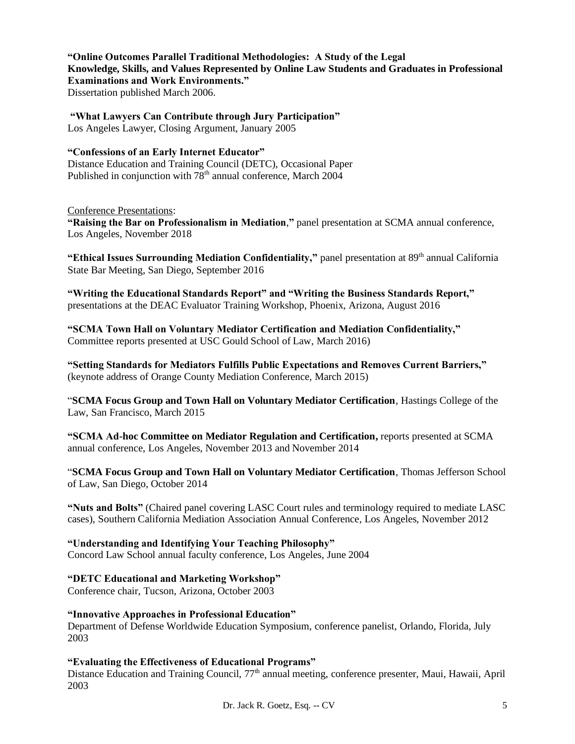**"Online Outcomes Parallel Traditional Methodologies: A Study of the Legal Knowledge, Skills, and Values Represented by Online Law Students and Graduates in Professional Examinations and Work Environments."**  Dissertation published March 2006.

**"What Lawyers Can Contribute through Jury Participation"**  Los Angeles Lawyer, Closing Argument, January 2005

# **"Confessions of an Early Internet Educator"**

Distance Education and Training Council (DETC), Occasional Paper Published in conjunction with  $78<sup>th</sup>$  annual conference, March 2004

## Conference Presentations:

**"Raising the Bar on Professionalism in Mediation**,**"** panel presentation at SCMA annual conference, Los Angeles, November 2018

"Ethical Issues Surrounding Mediation Confidentiality," panel presentation at 89<sup>th</sup> annual California State Bar Meeting, San Diego, September 2016

**"Writing the Educational Standards Report" and "Writing the Business Standards Report,"**  presentations at the DEAC Evaluator Training Workshop, Phoenix, Arizona, August 2016

**"SCMA Town Hall on Voluntary Mediator Certification and Mediation Confidentiality,"**  Committee reports presented at USC Gould School of Law, March 2016)

**"Setting Standards for Mediators Fulfills Public Expectations and Removes Current Barriers,"**  (keynote address of Orange County Mediation Conference, March 2015)

"**SCMA Focus Group and Town Hall on Voluntary Mediator Certification**, Hastings College of the Law, San Francisco, March 2015

**"SCMA Ad-hoc Committee on Mediator Regulation and Certification,** reports presented at SCMA annual conference, Los Angeles, November 2013 and November 2014

"**SCMA Focus Group and Town Hall on Voluntary Mediator Certification**, Thomas Jefferson School of Law, San Diego, October 2014

**"Nuts and Bolts"** (Chaired panel covering LASC Court rules and terminology required to mediate LASC cases), Southern California Mediation Association Annual Conference, Los Angeles, November 2012

# **"Understanding and Identifying Your Teaching Philosophy"**

Concord Law School annual faculty conference, Los Angeles, June 2004

# **"DETC Educational and Marketing Workshop"**

Conference chair, Tucson, Arizona, October 2003

## **"Innovative Approaches in Professional Education"**

Department of Defense Worldwide Education Symposium, conference panelist, Orlando, Florida, July 2003

# **"Evaluating the Effectiveness of Educational Programs"**

Distance Education and Training Council, 77<sup>th</sup> annual meeting, conference presenter, Maui, Hawaii, April 2003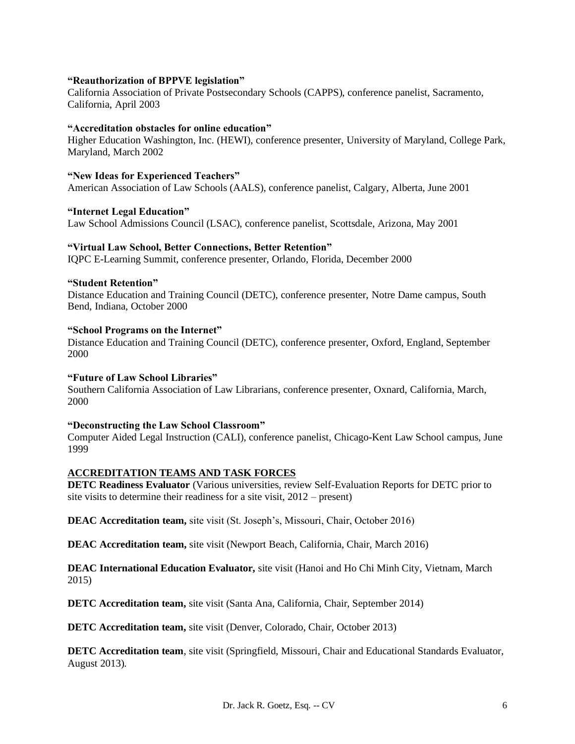#### **"Reauthorization of BPPVE legislation"**

California Association of Private Postsecondary Schools (CAPPS), conference panelist, Sacramento, California, April 2003

#### **"Accreditation obstacles for online education"**

Higher Education Washington, Inc. (HEWI), conference presenter, University of Maryland, College Park, Maryland, March 2002

#### **"New Ideas for Experienced Teachers"**

American Association of Law Schools (AALS), conference panelist, Calgary, Alberta, June 2001

#### **"Internet Legal Education"**

Law School Admissions Council (LSAC), conference panelist, Scottsdale, Arizona, May 2001

## **"Virtual Law School, Better Connections, Better Retention"**

IQPC E-Learning Summit, conference presenter, Orlando, Florida, December 2000

#### **"Student Retention"**

Distance Education and Training Council (DETC), conference presenter, Notre Dame campus, South Bend, Indiana, October 2000

#### **"School Programs on the Internet"**

Distance Education and Training Council (DETC), conference presenter, Oxford, England, September 2000

#### **"Future of Law School Libraries"**

Southern California Association of Law Librarians, conference presenter, Oxnard, California, March, 2000

#### **"Deconstructing the Law School Classroom"**

Computer Aided Legal Instruction (CALI), conference panelist, Chicago-Kent Law School campus, June 1999

#### **ACCREDITATION TEAMS AND TASK FORCES**

**DETC Readiness Evaluator** (Various universities, review Self-Evaluation Reports for DETC prior to site visits to determine their readiness for a site visit, 2012 – present)

**DEAC Accreditation team,** site visit (St. Joseph's, Missouri, Chair, October 2016)

**DEAC Accreditation team,** site visit (Newport Beach, California, Chair, March 2016)

**DEAC International Education Evaluator,** site visit (Hanoi and Ho Chi Minh City, Vietnam, March 2015)

**DETC Accreditation team,** site visit (Santa Ana, California, Chair, September 2014)

**DETC Accreditation team,** site visit (Denver, Colorado, Chair, October 2013)

**DETC Accreditation team**, site visit (Springfield, Missouri, Chair and Educational Standards Evaluator, August 2013).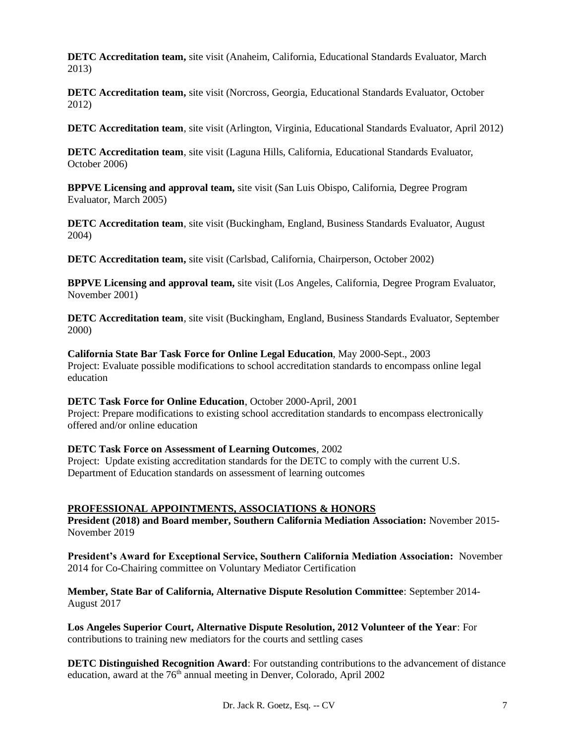**DETC Accreditation team,** site visit (Anaheim, California, Educational Standards Evaluator, March 2013)

**DETC Accreditation team,** site visit (Norcross, Georgia, Educational Standards Evaluator, October 2012)

**DETC Accreditation team**, site visit (Arlington, Virginia, Educational Standards Evaluator, April 2012)

**DETC Accreditation team**, site visit (Laguna Hills, California, Educational Standards Evaluator, October 2006)

**BPPVE Licensing and approval team,** site visit (San Luis Obispo, California, Degree Program Evaluator, March 2005)

**DETC Accreditation team**, site visit (Buckingham, England, Business Standards Evaluator, August 2004)

**DETC Accreditation team,** site visit (Carlsbad, California, Chairperson, October 2002)

**BPPVE Licensing and approval team,** site visit (Los Angeles, California, Degree Program Evaluator, November 2001)

**DETC Accreditation team**, site visit (Buckingham, England, Business Standards Evaluator, September 2000)

**California State Bar Task Force for Online Legal Education**, May 2000-Sept., 2003 Project: Evaluate possible modifications to school accreditation standards to encompass online legal education

**DETC Task Force for Online Education**, October 2000-April, 2001 Project: Prepare modifications to existing school accreditation standards to encompass electronically offered and/or online education

#### **DETC Task Force on Assessment of Learning Outcomes**, 2002 Project: Update existing accreditation standards for the DETC to comply with the current U.S.

Department of Education standards on assessment of learning outcomes

## **PROFESSIONAL APPOINTMENTS, ASSOCIATIONS & HONORS**

**President (2018) and Board member, Southern California Mediation Association:** November 2015- November 2019

**President's Award for Exceptional Service, Southern California Mediation Association:** November 2014 for Co-Chairing committee on Voluntary Mediator Certification

**Member, State Bar of California, Alternative Dispute Resolution Committee**: September 2014- August 2017

**Los Angeles Superior Court, Alternative Dispute Resolution, 2012 Volunteer of the Year**: For contributions to training new mediators for the courts and settling cases

**DETC Distinguished Recognition Award**: For outstanding contributions to the advancement of distance education, award at the 76<sup>th</sup> annual meeting in Denver, Colorado, April 2002